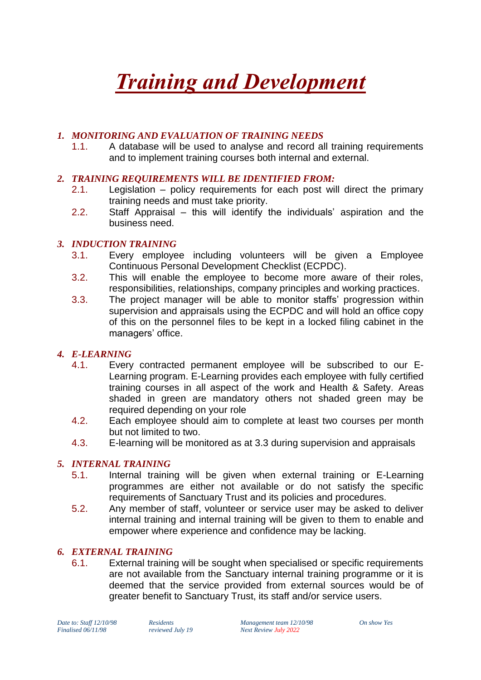# *Training and Development*

#### *1. MONITORING AND EVALUATION OF TRAINING NEEDS*

1.1. A database will be used to analyse and record all training requirements and to implement training courses both internal and external.

#### *2. TRAINING REQUIREMENTS WILL BE IDENTIFIED FROM:*

- 2.1. Legislation policy requirements for each post will direct the primary training needs and must take priority.
- 2.2. Staff Appraisal this will identify the individuals' aspiration and the business need.

#### *3. INDUCTION TRAINING*

- 3.1. Every employee including volunteers will be given a Employee Continuous Personal Development Checklist (ECPDC).
- 3.2. This will enable the employee to become more aware of their roles, responsibilities, relationships, company principles and working practices.
- 3.3. The project manager will be able to monitor staffs' progression within supervision and appraisals using the ECPDC and will hold an office copy of this on the personnel files to be kept in a locked filing cabinet in the managers' office.

#### *4. E-LEARNING*

- 4.1. Every contracted permanent employee will be subscribed to our E-Learning program. E-Learning provides each employee with fully certified training courses in all aspect of the work and Health & Safety. Areas shaded in green are mandatory others not shaded green may be required depending on your role
- 4.2. Each employee should aim to complete at least two courses per month but not limited to two.
- 4.3. E-learning will be monitored as at 3.3 during supervision and appraisals

#### *5. INTERNAL TRAINING*

- 5.1. Internal training will be given when external training or E-Learning programmes are either not available or do not satisfy the specific requirements of Sanctuary Trust and its policies and procedures.
- 5.2. Any member of staff, volunteer or service user may be asked to deliver internal training and internal training will be given to them to enable and empower where experience and confidence may be lacking.

#### *6. EXTERNAL TRAINING*

6.1. External training will be sought when specialised or specific requirements are not available from the Sanctuary internal training programme or it is deemed that the service provided from external sources would be of greater benefit to Sanctuary Trust, its staff and/or service users.

*Date to: Staff 12/10/98 Residents Management team 12/10/98 On show Yes*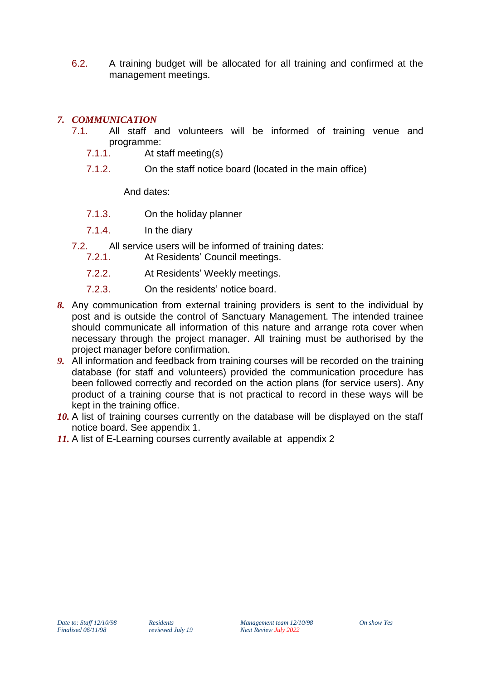6.2. A training budget will be allocated for all training and confirmed at the management meetings.

#### *7. COMMUNICATION*

- 7.1. All staff and volunteers will be informed of training venue and programme:<br>7.1.1. At st
	- At staff meeting(s)
	- 7.1.2. On the staff notice board (located in the main office)

And dates:

- 7.1.3. On the holiday planner
- 7.1.4. In the diary
- 7.2. All service users will be informed of training dates:
	- 7.2.1. At Residents' Council meetings.
	- 7.2.2. At Residents' Weekly meetings.
	- 7.2.3. On the residents' notice board.
- *8.* Any communication from external training providers is sent to the individual by post and is outside the control of Sanctuary Management. The intended trainee should communicate all information of this nature and arrange rota cover when necessary through the project manager. All training must be authorised by the project manager before confirmation.
- *9.* All information and feedback from training courses will be recorded on the training database (for staff and volunteers) provided the communication procedure has been followed correctly and recorded on the action plans (for service users). Any product of a training course that is not practical to record in these ways will be kept in the training office.
- 10. A list of training courses currently on the database will be displayed on the staff notice board. See appendix 1.
- *11.* A list of E-Learning courses currently available at appendix 2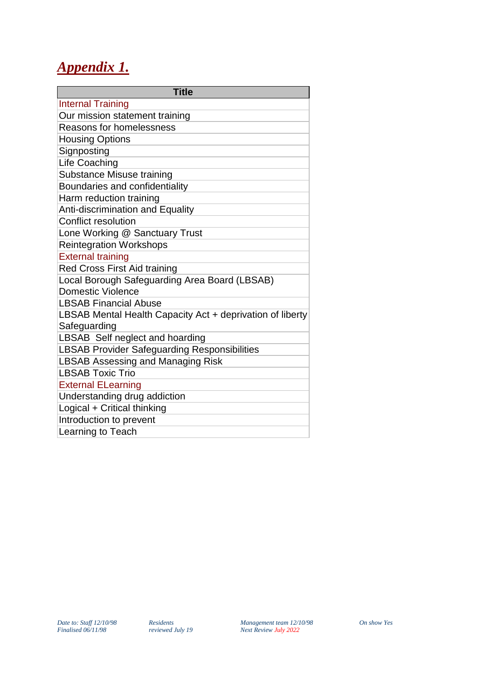## *Appendix 1.*

| <b>Title</b>                                              |
|-----------------------------------------------------------|
| <b>Internal Training</b>                                  |
| Our mission statement training                            |
| <b>Reasons for homelessness</b>                           |
| <b>Housing Options</b>                                    |
| Signposting                                               |
| Life Coaching                                             |
| Substance Misuse training                                 |
| Boundaries and confidentiality                            |
| Harm reduction training                                   |
| Anti-discrimination and Equality                          |
| Conflict resolution                                       |
| Lone Working @ Sanctuary Trust                            |
| <b>Reintegration Workshops</b>                            |
| <b>External training</b>                                  |
| Red Cross First Aid training                              |
| Local Borough Safeguarding Area Board (LBSAB)             |
| Domestic Violence                                         |
| <b>LBSAB Financial Abuse</b>                              |
| LBSAB Mental Health Capacity Act + deprivation of liberty |
| Safeguarding                                              |
| LBSAB Self neglect and hoarding                           |
| LBSAB Provider Safeguarding Responsibilities              |
| <b>LBSAB Assessing and Managing Risk</b>                  |
| <b>LBSAB Toxic Trio</b>                                   |
| <b>External ELearning</b>                                 |
| Understanding drug addiction                              |
| Logical + Critical thinking                               |
| Introduction to prevent                                   |
| Learning to Teach                                         |